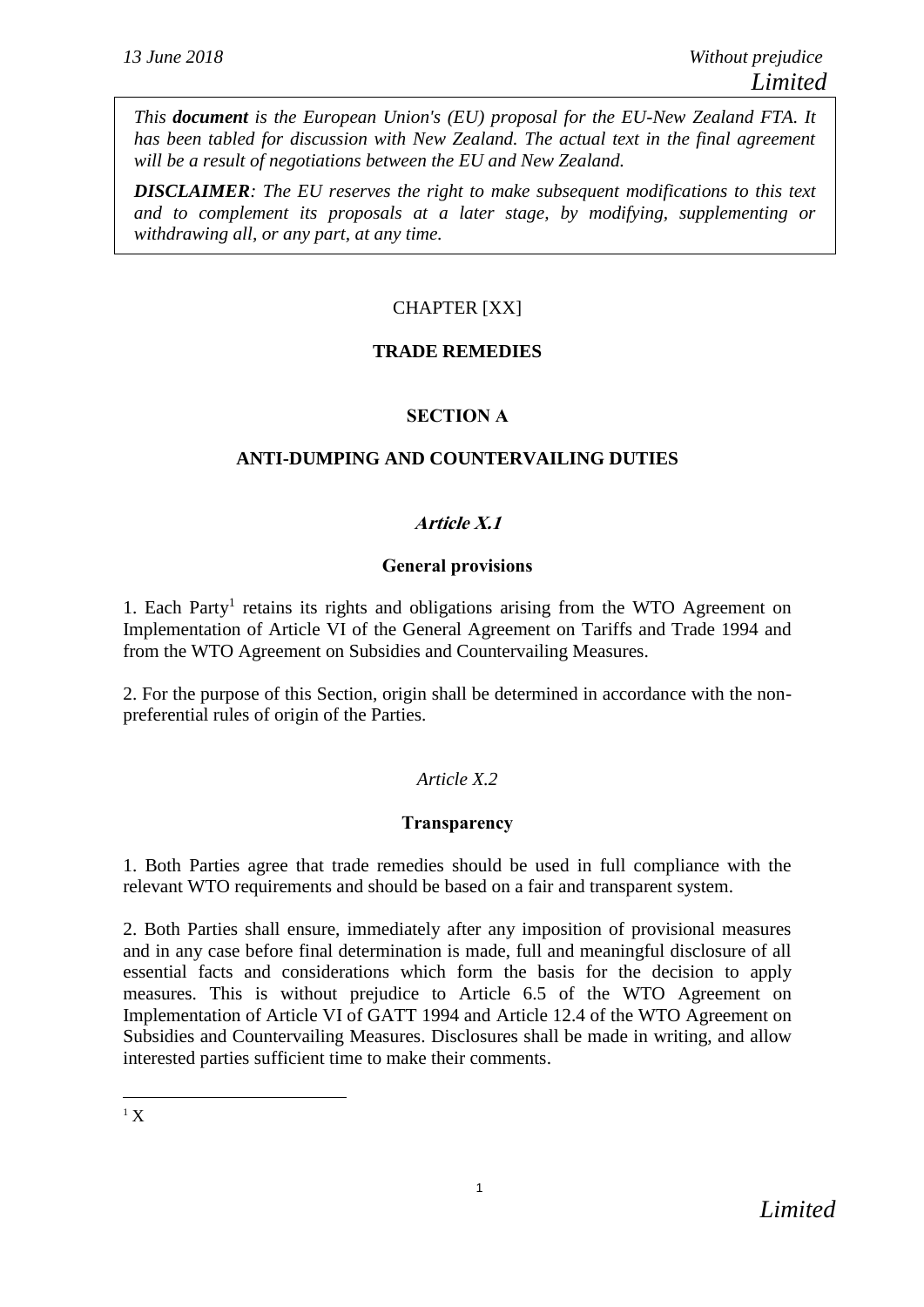*This document is the European Union's (EU) proposal for the EU-New Zealand FTA. It has been tabled for discussion with New Zealand. The actual text in the final agreement will be a result of negotiations between the EU and New Zealand.*

*DISCLAIMER: The EU reserves the right to make subsequent modifications to this text and to complement its proposals at a later stage, by modifying, supplementing or withdrawing all, or any part, at any time.*

# CHAPTER [XX]

# **TRADE REMEDIES**

# **SECTION A**

# **ANTI-DUMPING AND COUNTERVAILING DUTIES**

# **Article X.1**

## **General provisions**

1. Each Party<sup>1</sup> retains its rights and obligations arising from the WTO Agreement on Implementation of Article VI of the General Agreement on Tariffs and Trade 1994 and from the WTO Agreement on Subsidies and Countervailing Measures.

2. For the purpose of this Section, origin shall be determined in accordance with the nonpreferential rules of origin of the Parties.

# *Article X.2*

# **Transparency**

1. Both Parties agree that trade remedies should be used in full compliance with the relevant WTO requirements and should be based on a fair and transparent system.

2. Both Parties shall ensure, immediately after any imposition of provisional measures and in any case before final determination is made, full and meaningful disclosure of all essential facts and considerations which form the basis for the decision to apply measures. This is without prejudice to Article 6.5 of the WTO Agreement on Implementation of Article VI of GATT 1994 and Article 12.4 of the WTO Agreement on Subsidies and Countervailing Measures. Disclosures shall be made in writing, and allow interested parties sufficient time to make their comments.

 $\overline{a}$  $1 X$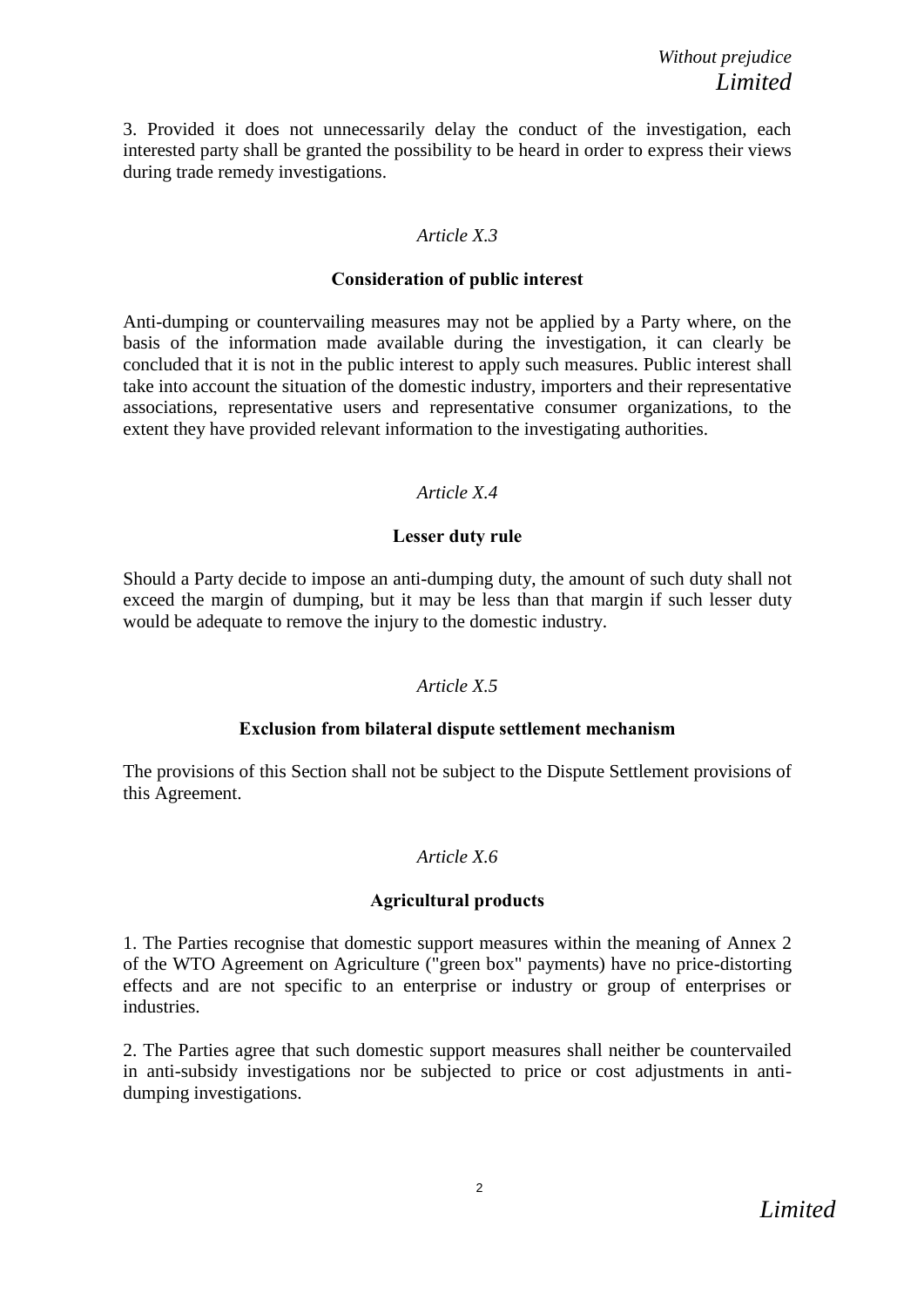3. Provided it does not unnecessarily delay the conduct of the investigation, each interested party shall be granted the possibility to be heard in order to express their views during trade remedy investigations.

## *Article X.3*

## **Consideration of public interest**

Anti-dumping or countervailing measures may not be applied by a Party where, on the basis of the information made available during the investigation, it can clearly be concluded that it is not in the public interest to apply such measures. Public interest shall take into account the situation of the domestic industry, importers and their representative associations, representative users and representative consumer organizations, to the extent they have provided relevant information to the investigating authorities.

# *Article X.4*

## **Lesser duty rule**

Should a Party decide to impose an anti-dumping duty, the amount of such duty shall not exceed the margin of dumping, but it may be less than that margin if such lesser duty would be adequate to remove the injury to the domestic industry.

# *Article X.5*

## **Exclusion from bilateral dispute settlement mechanism**

The provisions of this Section shall not be subject to the Dispute Settlement provisions of this Agreement.

# *Article X.6*

# **Agricultural products**

1. The Parties recognise that domestic support measures within the meaning of Annex 2 of the WTO Agreement on Agriculture ("green box" payments) have no price-distorting effects and are not specific to an enterprise or industry or group of enterprises or industries.

2. The Parties agree that such domestic support measures shall neither be countervailed in anti-subsidy investigations nor be subjected to price or cost adjustments in antidumping investigations.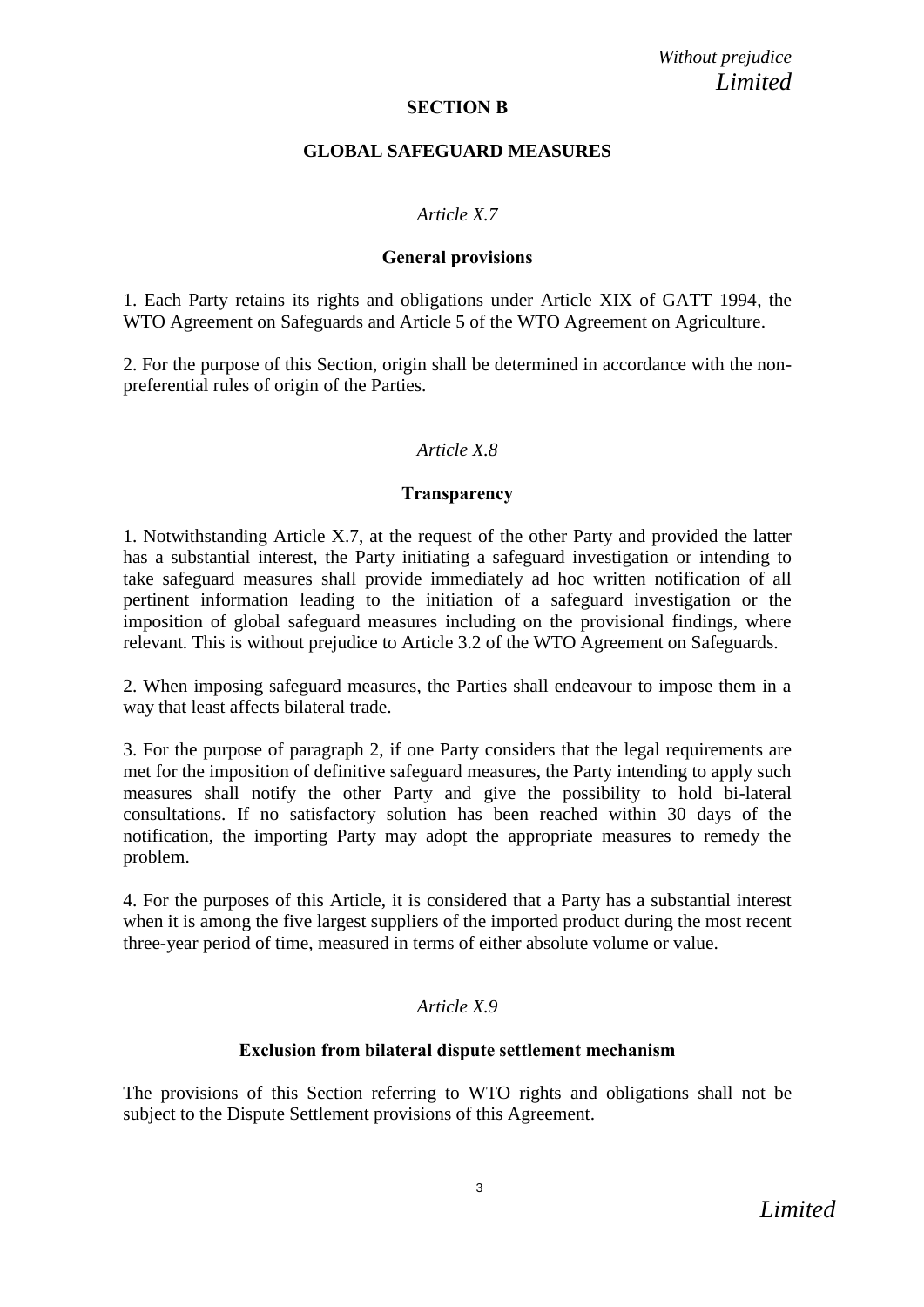### **SECTION B**

### **GLOBAL SAFEGUARD MEASURES**

## *Article X.7*

### **General provisions**

1. Each Party retains its rights and obligations under Article XIX of GATT 1994, the WTO Agreement on Safeguards and Article 5 of the WTO Agreement on Agriculture.

2. For the purpose of this Section, origin shall be determined in accordance with the nonpreferential rules of origin of the Parties.

## *Article X.8*

### **Transparency**

1. Notwithstanding Article X.7, at the request of the other Party and provided the latter has a substantial interest, the Party initiating a safeguard investigation or intending to take safeguard measures shall provide immediately ad hoc written notification of all pertinent information leading to the initiation of a safeguard investigation or the imposition of global safeguard measures including on the provisional findings, where relevant. This is without prejudice to Article 3.2 of the WTO Agreement on Safeguards.

2. When imposing safeguard measures, the Parties shall endeavour to impose them in a way that least affects bilateral trade.

3. For the purpose of paragraph 2, if one Party considers that the legal requirements are met for the imposition of definitive safeguard measures, the Party intending to apply such measures shall notify the other Party and give the possibility to hold bi-lateral consultations. If no satisfactory solution has been reached within 30 days of the notification, the importing Party may adopt the appropriate measures to remedy the problem.

4. For the purposes of this Article, it is considered that a Party has a substantial interest when it is among the five largest suppliers of the imported product during the most recent three-year period of time, measured in terms of either absolute volume or value.

# *Article X.9*

## **Exclusion from bilateral dispute settlement mechanism**

The provisions of this Section referring to WTO rights and obligations shall not be subject to the Dispute Settlement provisions of this Agreement.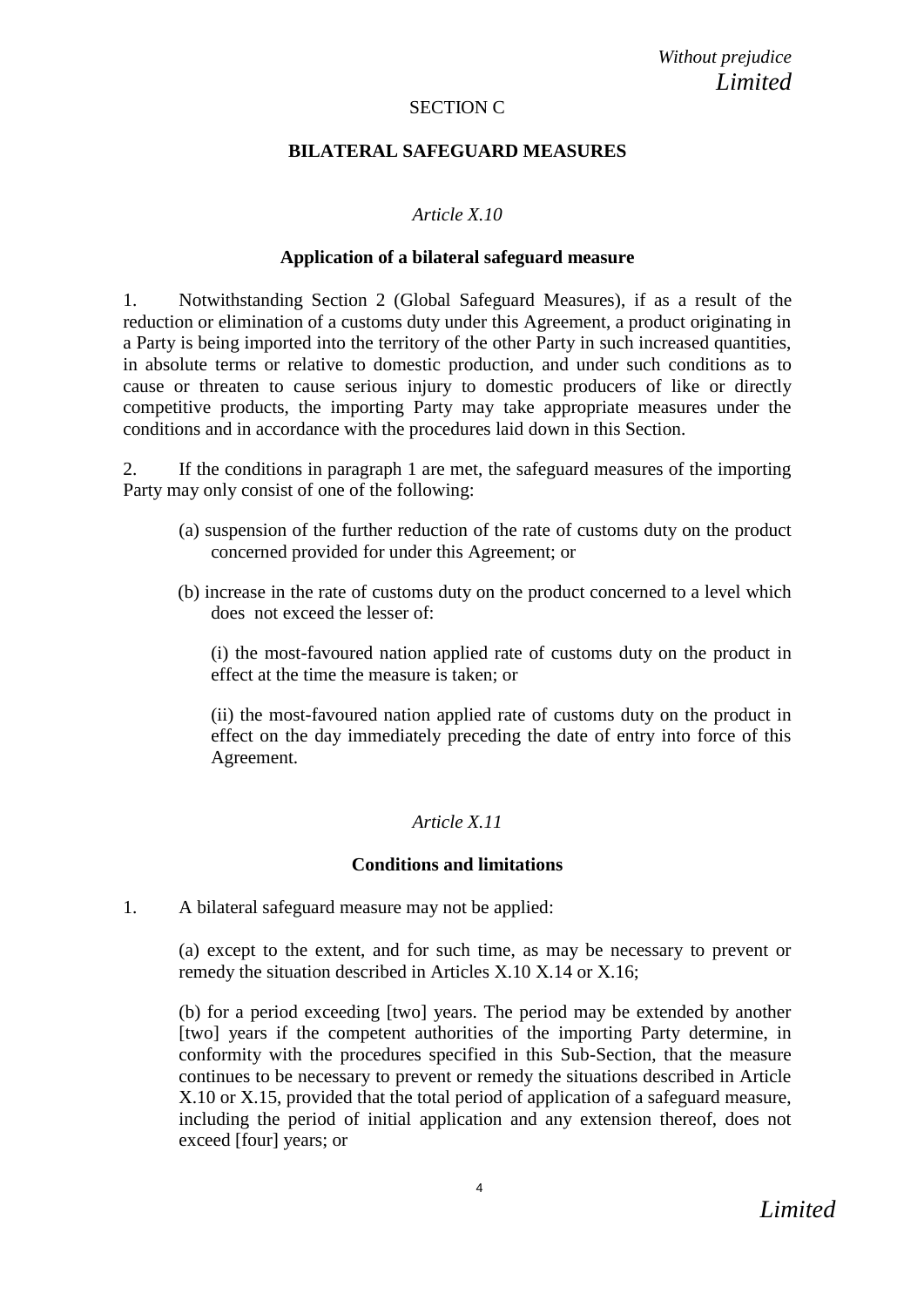## SECTION C

## **BILATERAL SAFEGUARD MEASURES**

## *Article X.10*

### **Application of a bilateral safeguard measure**

1. Notwithstanding Section 2 (Global Safeguard Measures), if as a result of the reduction or elimination of a customs duty under this Agreement, a product originating in a Party is being imported into the territory of the other Party in such increased quantities, in absolute terms or relative to domestic production, and under such conditions as to cause or threaten to cause serious injury to domestic producers of like or directly competitive products, the importing Party may take appropriate measures under the conditions and in accordance with the procedures laid down in this Section.

2. If the conditions in paragraph 1 are met, the safeguard measures of the importing Party may only consist of one of the following:

- (a) suspension of the further reduction of the rate of customs duty on the product concerned provided for under this Agreement; or
- (b) increase in the rate of customs duty on the product concerned to a level which does not exceed the lesser of:

(i) the most-favoured nation applied rate of customs duty on the product in effect at the time the measure is taken; or

(ii) the most-favoured nation applied rate of customs duty on the product in effect on the day immediately preceding the date of entry into force of this Agreement.

## *Article X.11*

## **Conditions and limitations**

1. A bilateral safeguard measure may not be applied:

(a) except to the extent, and for such time, as may be necessary to prevent or remedy the situation described in Articles X.10 X.14 or X.16;

(b) for a period exceeding [two] years. The period may be extended by another [two] years if the competent authorities of the importing Party determine, in conformity with the procedures specified in this Sub-Section, that the measure continues to be necessary to prevent or remedy the situations described in Article X.10 or X.15, provided that the total period of application of a safeguard measure, including the period of initial application and any extension thereof, does not exceed [four] years; or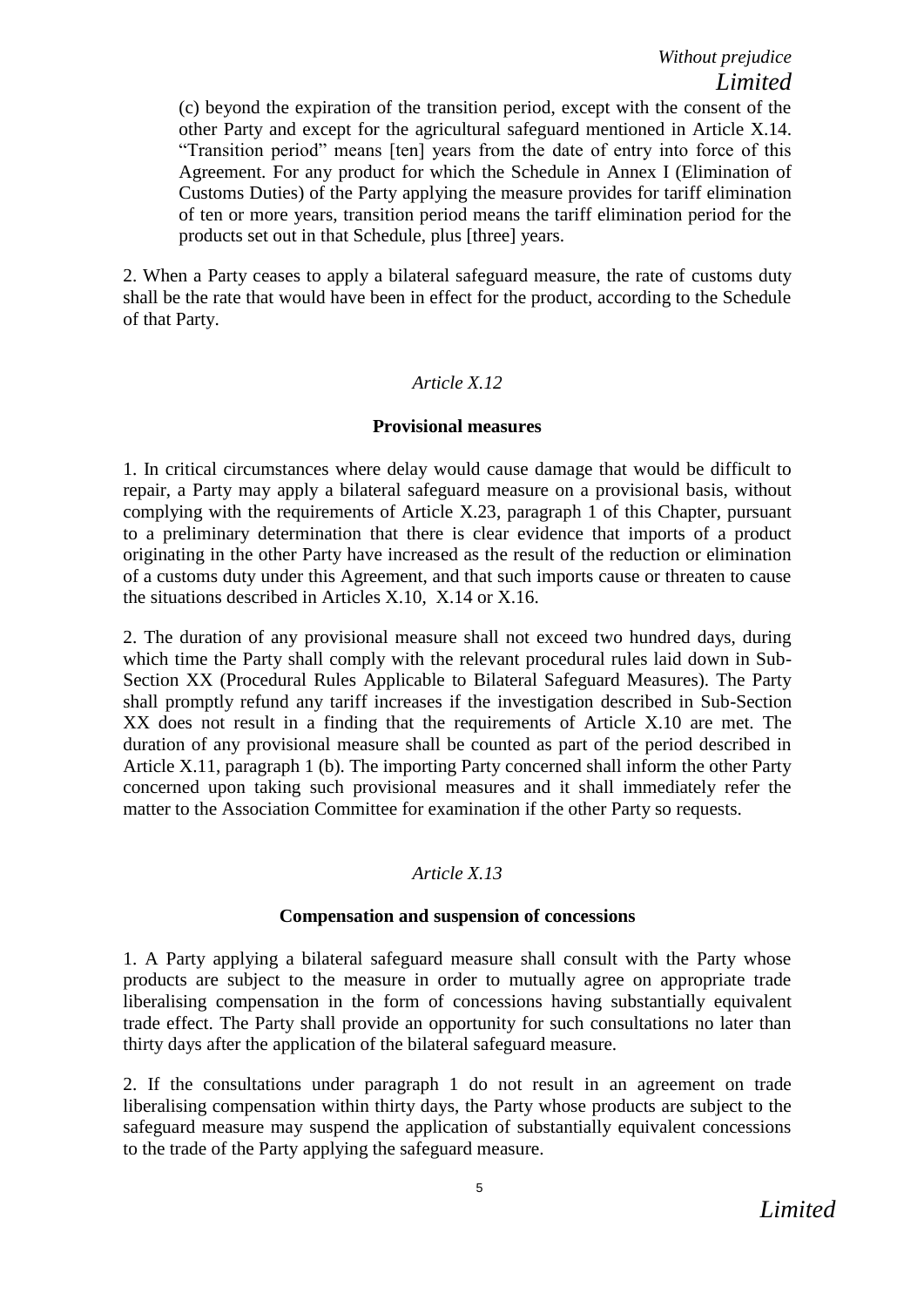(c) beyond the expiration of the transition period, except with the consent of the other Party and except for the agricultural safeguard mentioned in Article X.14. "Transition period" means [ten] years from the date of entry into force of this Agreement. For any product for which the Schedule in Annex I (Elimination of Customs Duties) of the Party applying the measure provides for tariff elimination of ten or more years, transition period means the tariff elimination period for the products set out in that Schedule, plus [three] years.

2. When a Party ceases to apply a bilateral safeguard measure, the rate of customs duty shall be the rate that would have been in effect for the product, according to the Schedule of that Party.

## *Article X.12*

### **Provisional measures**

1. In critical circumstances where delay would cause damage that would be difficult to repair, a Party may apply a bilateral safeguard measure on a provisional basis, without complying with the requirements of Article X.23, paragraph 1 of this Chapter, pursuant to a preliminary determination that there is clear evidence that imports of a product originating in the other Party have increased as the result of the reduction or elimination of a customs duty under this Agreement, and that such imports cause or threaten to cause the situations described in Articles X.10, X.14 or X.16.

2. The duration of any provisional measure shall not exceed two hundred days, during which time the Party shall comply with the relevant procedural rules laid down in Sub-Section XX (Procedural Rules Applicable to Bilateral Safeguard Measures). The Party shall promptly refund any tariff increases if the investigation described in Sub-Section XX does not result in a finding that the requirements of Article X.10 are met. The duration of any provisional measure shall be counted as part of the period described in Article X.11, paragraph 1 (b). The importing Party concerned shall inform the other Party concerned upon taking such provisional measures and it shall immediately refer the matter to the Association Committee for examination if the other Party so requests.

## *Article X.13*

#### **Compensation and suspension of concessions**

1. A Party applying a bilateral safeguard measure shall consult with the Party whose products are subject to the measure in order to mutually agree on appropriate trade liberalising compensation in the form of concessions having substantially equivalent trade effect. The Party shall provide an opportunity for such consultations no later than thirty days after the application of the bilateral safeguard measure.

2. If the consultations under paragraph 1 do not result in an agreement on trade liberalising compensation within thirty days, the Party whose products are subject to the safeguard measure may suspend the application of substantially equivalent concessions to the trade of the Party applying the safeguard measure.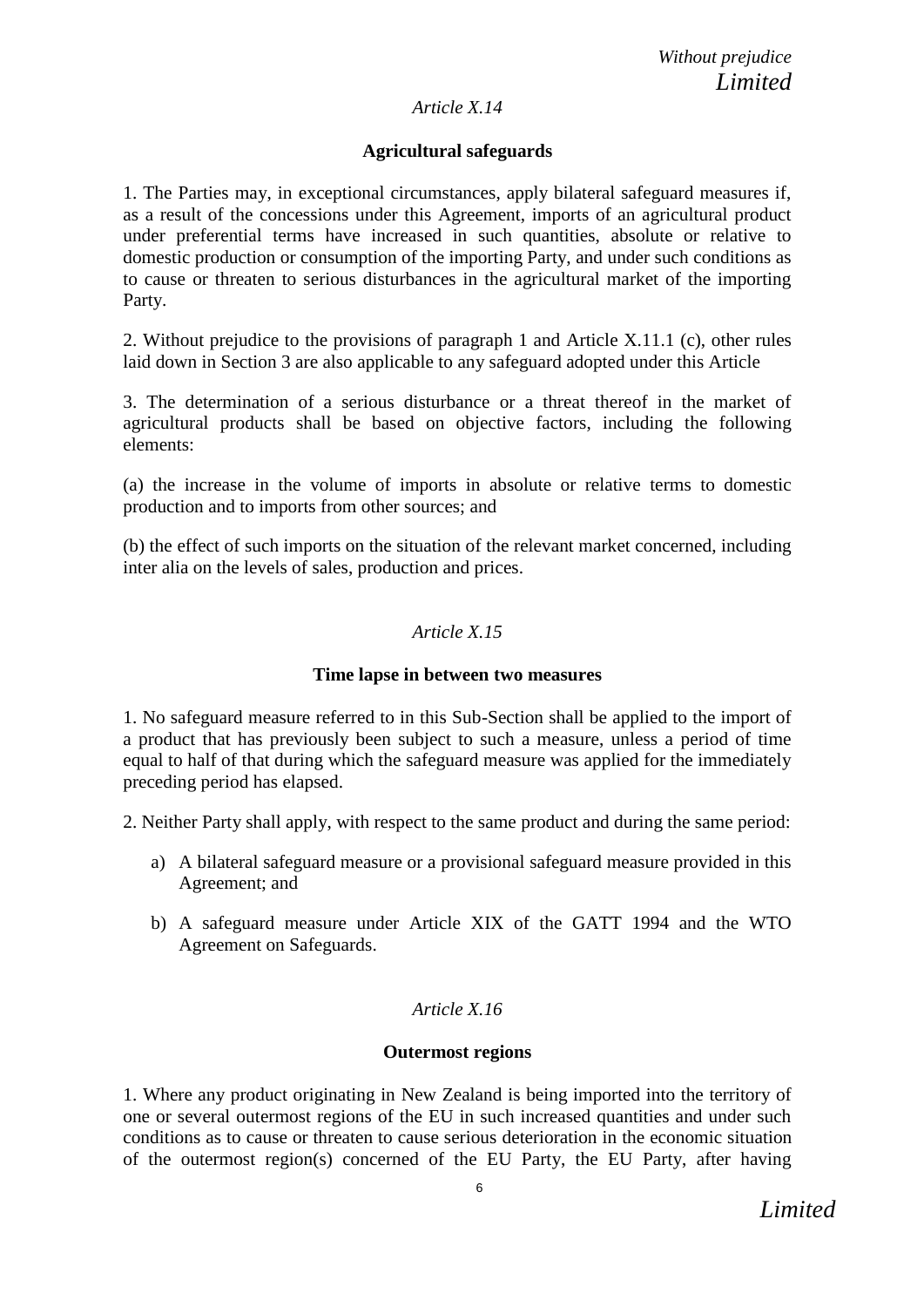## *Article X.14*

# **Agricultural safeguards**

1. The Parties may, in exceptional circumstances, apply bilateral safeguard measures if, as a result of the concessions under this Agreement, imports of an agricultural product under preferential terms have increased in such quantities, absolute or relative to domestic production or consumption of the importing Party, and under such conditions as to cause or threaten to serious disturbances in the agricultural market of the importing Party.

2. Without prejudice to the provisions of paragraph 1 and Article X.11.1 (c), other rules laid down in Section 3 are also applicable to any safeguard adopted under this Article

3. The determination of a serious disturbance or a threat thereof in the market of agricultural products shall be based on objective factors, including the following elements:

(a) the increase in the volume of imports in absolute or relative terms to domestic production and to imports from other sources; and

(b) the effect of such imports on the situation of the relevant market concerned, including inter alia on the levels of sales, production and prices.

# *Article X.15*

## **Time lapse in between two measures**

1. No safeguard measure referred to in this Sub-Section shall be applied to the import of a product that has previously been subject to such a measure, unless a period of time equal to half of that during which the safeguard measure was applied for the immediately preceding period has elapsed.

2. Neither Party shall apply, with respect to the same product and during the same period:

- a) A bilateral safeguard measure or a provisional safeguard measure provided in this Agreement; and
- b) A safeguard measure under Article XIX of the GATT 1994 and the WTO Agreement on Safeguards.

# *Article X.16*

## **Outermost regions**

1. Where any product originating in New Zealand is being imported into the territory of one or several outermost regions of the EU in such increased quantities and under such conditions as to cause or threaten to cause serious deterioration in the economic situation of the outermost region(s) concerned of the EU Party, the EU Party, after having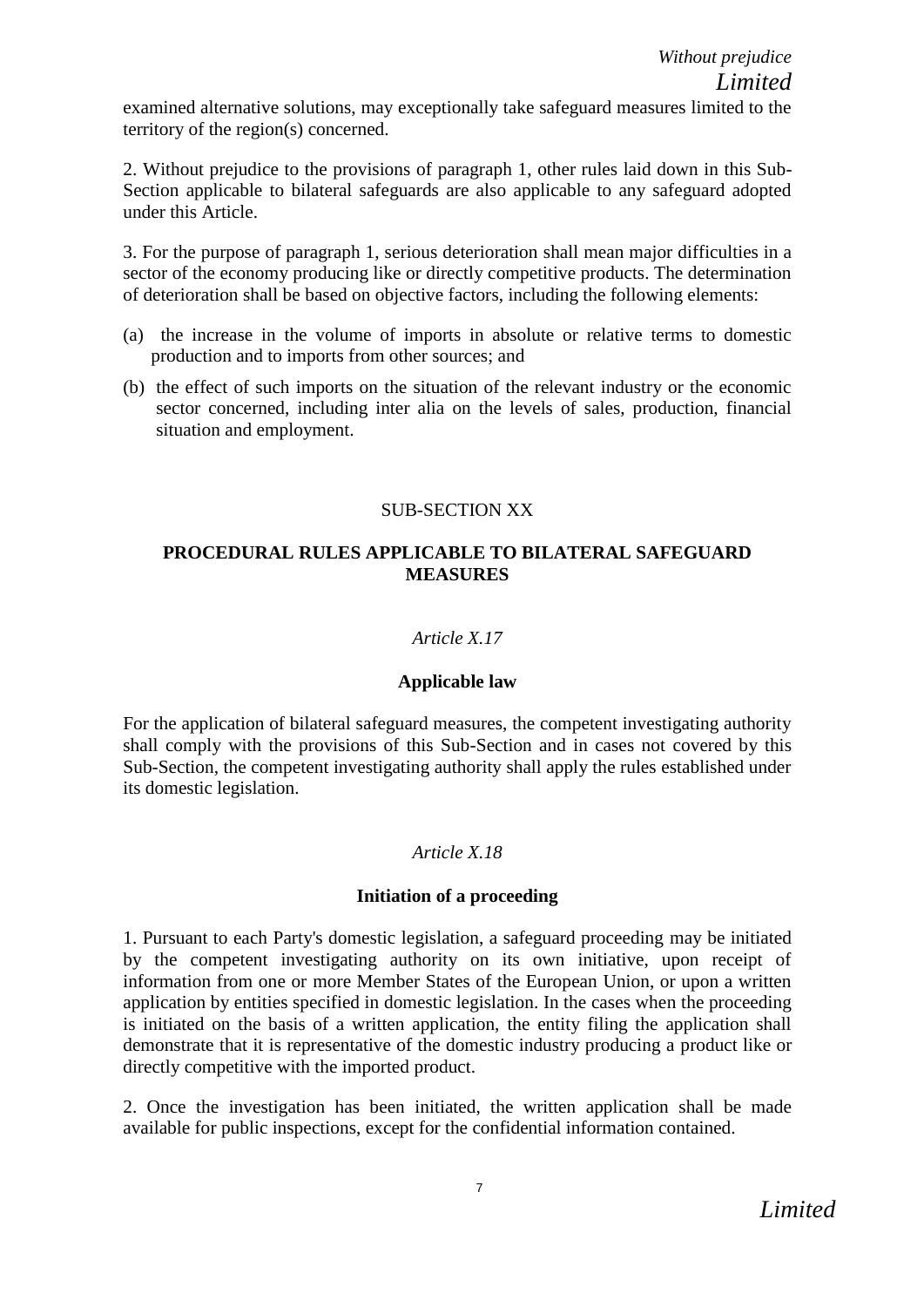examined alternative solutions, may exceptionally take safeguard measures limited to the territory of the region(s) concerned.

2. Without prejudice to the provisions of paragraph 1, other rules laid down in this Sub-Section applicable to bilateral safeguards are also applicable to any safeguard adopted under this Article.

3. For the purpose of paragraph 1, serious deterioration shall mean major difficulties in a sector of the economy producing like or directly competitive products. The determination of deterioration shall be based on objective factors, including the following elements:

- (a) the increase in the volume of imports in absolute or relative terms to domestic production and to imports from other sources; and
- (b) the effect of such imports on the situation of the relevant industry or the economic sector concerned, including inter alia on the levels of sales, production, financial situation and employment.

# SUB-SECTION XX

## **PROCEDURAL RULES APPLICABLE TO BILATERAL SAFEGUARD MEASURES**

## *Article X.17*

## **Applicable law**

For the application of bilateral safeguard measures, the competent investigating authority shall comply with the provisions of this Sub-Section and in cases not covered by this Sub-Section, the competent investigating authority shall apply the rules established under its domestic legislation.

## *Article X.18*

## **Initiation of a proceeding**

1. Pursuant to each Party's domestic legislation, a safeguard proceeding may be initiated by the competent investigating authority on its own initiative, upon receipt of information from one or more Member States of the European Union, or upon a written application by entities specified in domestic legislation. In the cases when the proceeding is initiated on the basis of a written application, the entity filing the application shall demonstrate that it is representative of the domestic industry producing a product like or directly competitive with the imported product.

2. Once the investigation has been initiated, the written application shall be made available for public inspections, except for the confidential information contained.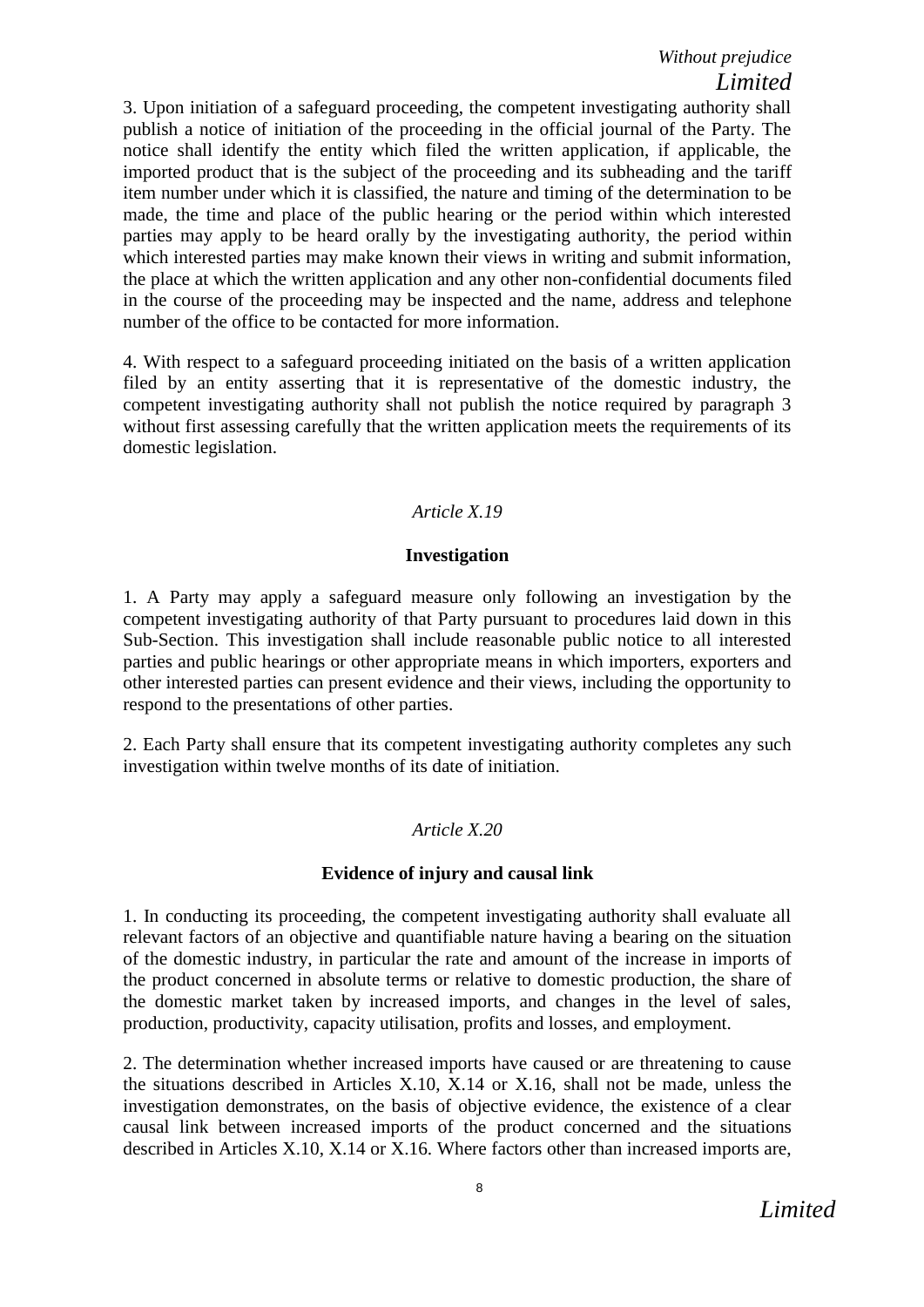3. Upon initiation of a safeguard proceeding, the competent investigating authority shall publish a notice of initiation of the proceeding in the official journal of the Party. The notice shall identify the entity which filed the written application, if applicable, the imported product that is the subject of the proceeding and its subheading and the tariff item number under which it is classified, the nature and timing of the determination to be made, the time and place of the public hearing or the period within which interested parties may apply to be heard orally by the investigating authority, the period within which interested parties may make known their views in writing and submit information, the place at which the written application and any other non-confidential documents filed in the course of the proceeding may be inspected and the name, address and telephone number of the office to be contacted for more information.

4. With respect to a safeguard proceeding initiated on the basis of a written application filed by an entity asserting that it is representative of the domestic industry, the competent investigating authority shall not publish the notice required by paragraph 3 without first assessing carefully that the written application meets the requirements of its domestic legislation.

# *Article X.19*

## **Investigation**

1. A Party may apply a safeguard measure only following an investigation by the competent investigating authority of that Party pursuant to procedures laid down in this Sub-Section. This investigation shall include reasonable public notice to all interested parties and public hearings or other appropriate means in which importers, exporters and other interested parties can present evidence and their views, including the opportunity to respond to the presentations of other parties.

2. Each Party shall ensure that its competent investigating authority completes any such investigation within twelve months of its date of initiation.

## *Article X.20*

#### **Evidence of injury and causal link**

1. In conducting its proceeding, the competent investigating authority shall evaluate all relevant factors of an objective and quantifiable nature having a bearing on the situation of the domestic industry, in particular the rate and amount of the increase in imports of the product concerned in absolute terms or relative to domestic production, the share of the domestic market taken by increased imports, and changes in the level of sales, production, productivity, capacity utilisation, profits and losses, and employment.

2. The determination whether increased imports have caused or are threatening to cause the situations described in Articles X.10, X.14 or X.16, shall not be made, unless the investigation demonstrates, on the basis of objective evidence, the existence of a clear causal link between increased imports of the product concerned and the situations described in Articles X.10, X.14 or X.16. Where factors other than increased imports are,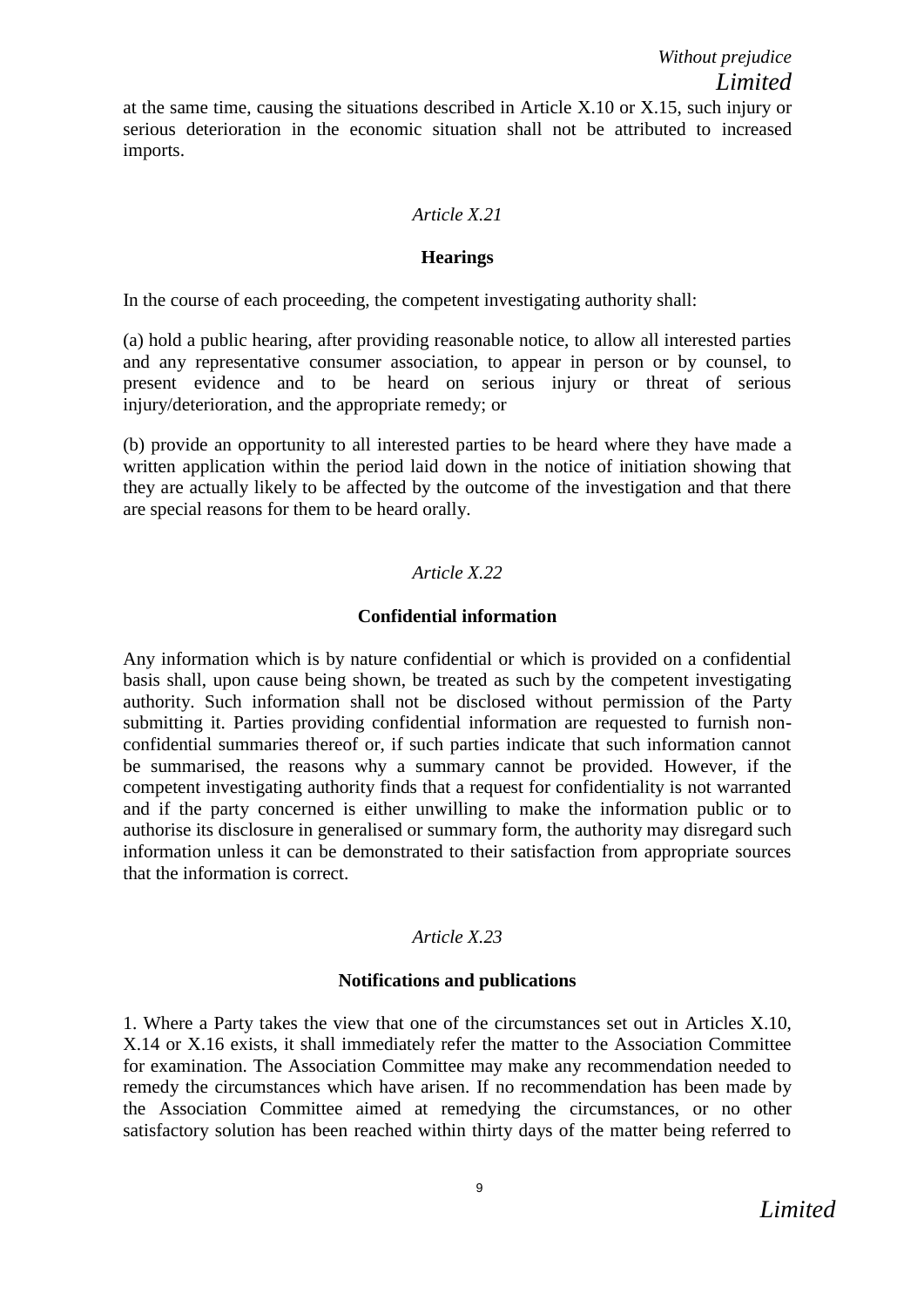## *Article X.21*

#### **Hearings**

In the course of each proceeding, the competent investigating authority shall:

(a) hold a public hearing, after providing reasonable notice, to allow all interested parties and any representative consumer association, to appear in person or by counsel, to present evidence and to be heard on serious injury or threat of serious injury/deterioration, and the appropriate remedy; or

(b) provide an opportunity to all interested parties to be heard where they have made a written application within the period laid down in the notice of initiation showing that they are actually likely to be affected by the outcome of the investigation and that there are special reasons for them to be heard orally.

# *Article X.22*

### **Confidential information**

Any information which is by nature confidential or which is provided on a confidential basis shall, upon cause being shown, be treated as such by the competent investigating authority. Such information shall not be disclosed without permission of the Party submitting it. Parties providing confidential information are requested to furnish nonconfidential summaries thereof or, if such parties indicate that such information cannot be summarised, the reasons why a summary cannot be provided. However, if the competent investigating authority finds that a request for confidentiality is not warranted and if the party concerned is either unwilling to make the information public or to authorise its disclosure in generalised or summary form, the authority may disregard such information unless it can be demonstrated to their satisfaction from appropriate sources that the information is correct.

## *Article X.23*

#### **Notifications and publications**

1. Where a Party takes the view that one of the circumstances set out in Articles X.10, X.14 or X.16 exists, it shall immediately refer the matter to the Association Committee for examination. The Association Committee may make any recommendation needed to remedy the circumstances which have arisen. If no recommendation has been made by the Association Committee aimed at remedying the circumstances, or no other satisfactory solution has been reached within thirty days of the matter being referred to